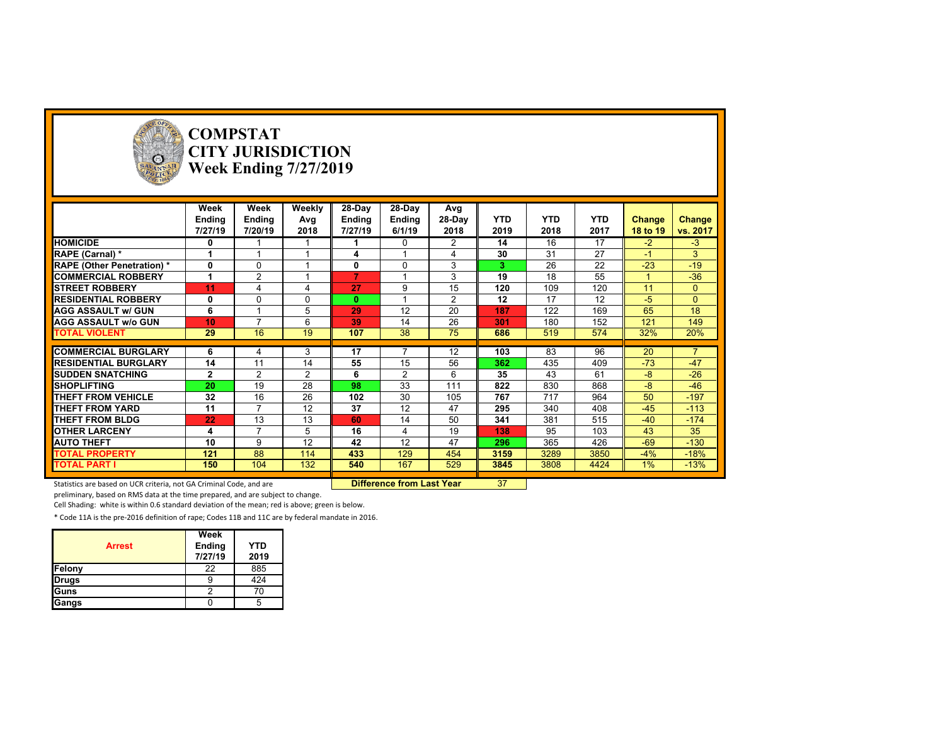

# **COMPSTAT CITY JURISDICTION Week Ending 7/27/2019**

|                                   | Week           | Week           | Weekly   | 28-Day  | 28-Day         | Avg            |            |            |            |               |          |
|-----------------------------------|----------------|----------------|----------|---------|----------------|----------------|------------|------------|------------|---------------|----------|
|                                   | Ending         | Ending         | Avg      | Ending  | Ending         | 28-Day         | <b>YTD</b> | <b>YTD</b> | <b>YTD</b> | <b>Change</b> | Change   |
|                                   | 7/27/19        | 7/20/19        | 2018     | 7/27/19 | 6/1/19         | 2018           | 2019       | 2018       | 2017       | 18 to 19      | vs. 2017 |
| <b>HOMICIDE</b>                   | 0              |                |          |         | 0              | $\overline{2}$ | 14         | 16         | 17         | $-2$          | $-3$     |
| RAPE (Carnal) *                   |                |                |          | 4       |                |                | 30         | 31         | 27         | $-1$          | 3        |
| <b>RAPE (Other Penetration)</b> * | 0              | $\Omega$       |          | 0       | $\Omega$       | 3              | 3          | 26         | 22         | $-23$         | $-19$    |
| <b>COMMERCIAL ROBBERY</b>         |                | 2              |          | 7       |                | 3              | 19         | 18         | 55         |               | $-36$    |
| <b>STREET ROBBERY</b>             | 11             |                | 4        | 27      | 9              | 15             | 120        | 109        | 120        | 11            | $\Omega$ |
| <b>RESIDENTIAL ROBBERY</b>        | 0              | $\Omega$       | $\Omega$ | 0       |                | $\overline{2}$ | 12         | 17         | 12         | $-5$          | $\Omega$ |
| <b>AGG ASSAULT w/ GUN</b>         | 6              |                | 5        | 29      | 12             | 20             | 187        | 122        | 169        | 65            | 18       |
| <b>AGG ASSAULT w/o GUN</b>        | 10             | $\overline{ }$ | 6        | 39      | 14             | 26             | 301        | 180        | 152        | 121           | 149      |
| <b>TOTAL VIOLENT</b>              | 29             | 16             | 19       | 107     | 38             | 75             | 686        | 519        | 574        | 32%           | 20%      |
|                                   |                |                |          |         |                |                |            |            |            |               |          |
| <b>COMMERCIAL BURGLARY</b>        | 6              | 4              | 3        | 17      |                | 12             | 103        | 83         | 96         | 20            |          |
| <b>RESIDENTIAL BURGLARY</b>       | 14             | 11             | 14       | 55      | 15             | 56             | 362        | 435        | 409        | $-73$         | $-47$    |
| <b>SUDDEN SNATCHING</b>           | $\overline{2}$ | 2              | 2        | 6       | $\overline{2}$ | 6              | 35         | 43         | 61         | -8            | $-26$    |
| <b>SHOPLIFTING</b>                | 20             | 19             | 28       | 98      | 33             | 111            | 822        | 830        | 868        | -8            | $-46$    |
| <b>THEFT FROM VEHICLE</b>         | 32             | 16             | 26       | 102     | 30             | 105            | 767        | 717        | 964        | 50            | $-197$   |
| <b>THEFT FROM YARD</b>            | 11             | $\overline{ }$ | 12       | 37      | 12             | 47             | 295        | 340        | 408        | $-45$         | $-113$   |
| <b>THEFT FROM BLDG</b>            | 22             | 13             | 13       | 60      | 14             | 50             | 341        | 381        | 515        | $-40$         | $-174$   |
| <b>OTHER LARCENY</b>              | 4              | $\overline{ }$ | 5        | 16      | 4              | 19             | 138        | 95         | 103        | 43            | 35       |
| <b>AUTO THEFT</b>                 | 10             | 9              | 12       | 42      | 12             | 47             | 296        | 365        | 426        | $-69$         | $-130$   |
| <b>TOTAL PROPERTY</b>             | 121            | 88             | 114      | 433     | 129            | 454            | 3159       | 3289       | 3850       | $-4%$         | $-18%$   |
| <b>TOTAL PART I</b>               | 150            | 104            | 132      | 540     | 167            | 529            | 3845       | 3808       | 4424       | $1\%$         | $-13%$   |

Statistics are based on UCR criteria, not GA Criminal Code, and are **Difference from Last Year** 37

preliminary, based on RMS data at the time prepared, and are subject to change.

Cell Shading: white is within 0.6 standard deviation of the mean; red is above; green is below.

| <b>Arrest</b> | Week<br>Ending<br>7/27/19 | <b>YTD</b><br>2019 |
|---------------|---------------------------|--------------------|
| Felony        | 22                        | 885                |
| <b>Drugs</b>  |                           | 424                |
| Guns          |                           | 70                 |
| Gangs         |                           |                    |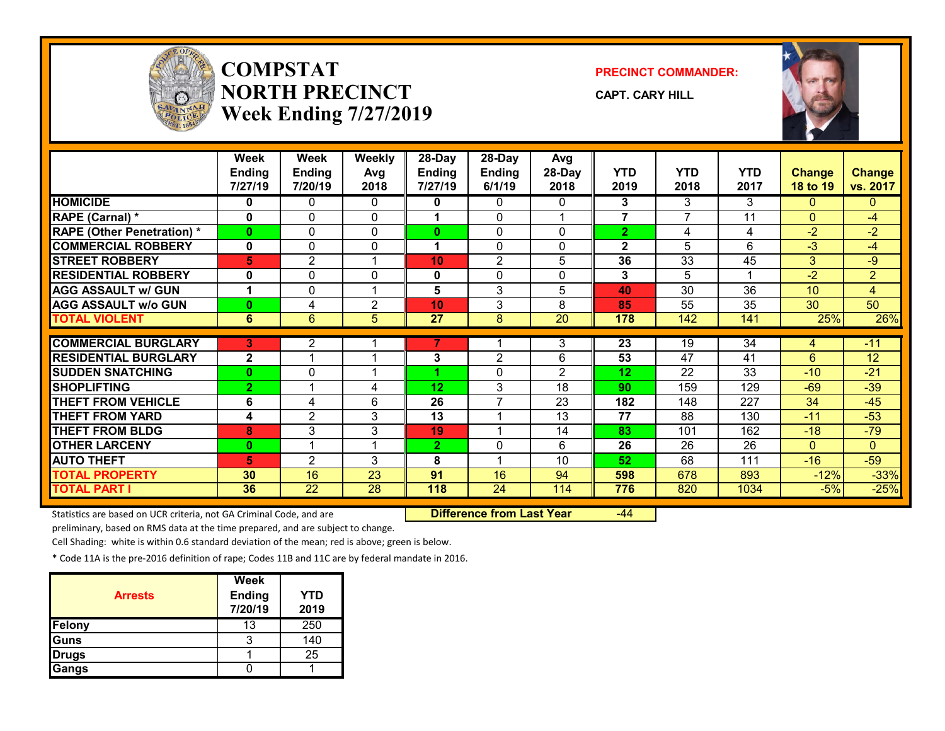

## **COMPSTATNORTH PRECINCTWeek Ending 7/27/2019**

#### **PRECINCT COMMANDER:**

**CAPT. CARY HILL**



|                                   | <b>Week</b>          | <b>Week</b>             | <b>Weekly</b>  | 28-Day          | 28-Day         | Avg             |                |                 |            |                 |                 |
|-----------------------------------|----------------------|-------------------------|----------------|-----------------|----------------|-----------------|----------------|-----------------|------------|-----------------|-----------------|
|                                   | <b>Ending</b>        | <b>Ending</b>           | Avg            | <b>Ending</b>   | <b>Ending</b>  | 28-Day          | YTD            | <b>YTD</b>      | <b>YTD</b> | <b>Change</b>   | <b>Change</b>   |
|                                   | 7/27/19              | 7/20/19                 | 2018           | 7/27/19         | 6/1/19         | 2018            | 2019           | 2018            | 2017       | <b>18 to 19</b> | vs. 2017        |
| <b>HOMICIDE</b>                   | 0                    | 0                       | 0              | 0               | 0              | 0               | 3              | 3               | 3          | $\Omega$        | 0               |
| RAPE (Carnal) *                   | $\bf{0}$             | $\Omega$                | 0              | 1               | $\Omega$       |                 | $\overline{7}$ | 7               | 11         | $\Omega$        | $-4$            |
| <b>RAPE (Other Penetration) *</b> | $\bf{0}$             | 0                       | $\Omega$       | 0               | $\Omega$       | 0               | $\overline{2}$ | 4               | 4          | $-2$            | $-2$            |
| <b>COMMERCIAL ROBBERY</b>         | $\mathbf{0}$         | 0                       | $\Omega$       | 1               | $\Omega$       | 0               | $\mathbf{2}$   | 5               | 6          | $-3$            | -4              |
| <b>STREET ROBBERY</b>             | 5                    | $\overline{2}$          |                | 10              | 2              | 5               | 36             | 33              | 45         | 3               | -9              |
| <b>RESIDENTIAL ROBBERY</b>        | $\bf{0}$             | $\Omega$                | $\Omega$       | 0               | $\Omega$       | 0               | 3              | 5               | 4          | $-2$            | $\overline{2}$  |
| <b>AGG ASSAULT w/ GUN</b>         | $\blacktriangleleft$ | 0                       |                | 5               | 3              | 5               | 40             | 30              | 36         | 10              | 4               |
| <b>AGG ASSAULT w/o GUN</b>        | $\bf{0}$             | 4                       | $\overline{2}$ | 10              | 3              | 8               | 85             | 55              | 35         | 30              | $\overline{50}$ |
| <b>TOTAL VIOLENT</b>              | 6                    | 6                       | 5              | 27              | 8              | $\overline{20}$ | 178            | 142             | 141        | 25%             | 26%             |
|                                   |                      |                         |                |                 |                |                 |                |                 |            |                 |                 |
| <b>COMMERCIAL BURGLARY</b>        | 3                    | 2                       |                |                 |                | 3               | 23             | 19              | 34         | 4               | $-11$           |
| <b>RESIDENTIAL BURGLARY</b>       | $\mathbf{2}$         |                         |                | 3               | $\overline{2}$ | 6               | 53             | $\overline{47}$ | 41         | 6               | 12              |
| <b>SUDDEN SNATCHING</b>           | $\bf{0}$             | 0                       |                |                 | 0              | 2               | 12             | 22              | 33         | $-10$           | $-21$           |
| <b>SHOPLIFTING</b>                | $\overline{2}$       |                         | 4              | 12 <sub>2</sub> | 3              | 18              | 90             | 159             | 129        | $-69$           | $-39$           |
| <b>THEFT FROM VEHICLE</b>         | 6                    | 4                       | 6              | 26              | $\overline{7}$ | 23              | 182            | 148             | 227        | 34              | $-45$           |
| <b>THEFT FROM YARD</b>            | 4                    | $\overline{2}$          | 3              | 13              | 4              | 13              | 77             | 88              | 130        | $-11$           | $-53$           |
| <b>THEFT FROM BLDG</b>            | 8                    | 3                       | 3              | 19              |                | 14              | 83             | 101             | 162        | $-18$           | $-79$           |
| <b>OTHER LARCENY</b>              | $\bf{0}$             | $\overline{\mathbf{A}}$ | -1             | $\mathbf{2}$    | 0              | 6               | 26             | 26              | 26         | $\Omega$        | $\Omega$        |
| <b>AUTO THEFT</b>                 | 5                    | $\overline{2}$          | 3              | 8               | 4              | 10              | 52             | 68              | 111        | $-16$           | $-59$           |
| <b>TOTAL PROPERTY</b>             | 30                   | $\overline{16}$         | 23             | 91              | 16             | 94              | 598            | 678             | 893        | $-12%$          | $-33%$          |
| <b>TOTAL PART I</b>               | 36                   | $\overline{22}$         | 28             | 118             | 24             | 114             | 776            | 820             | 1034       | $-5%$           | $-25%$          |

Statistics are based on UCR criteria, not GA Criminal Code, and are **Difference from Last Year** -44

preliminary, based on RMS data at the time prepared, and are subject to change.

Cell Shading: white is within 0.6 standard deviation of the mean; red is above; green is below.

| <b>Arrests</b> | Week<br><b>Ending</b><br>7/20/19 | <b>YTD</b><br>2019 |
|----------------|----------------------------------|--------------------|
| Felony         | 13                               | 250                |
| Guns           | ว                                | 140                |
| <b>Drugs</b>   |                                  | 25                 |
| Gangs          |                                  |                    |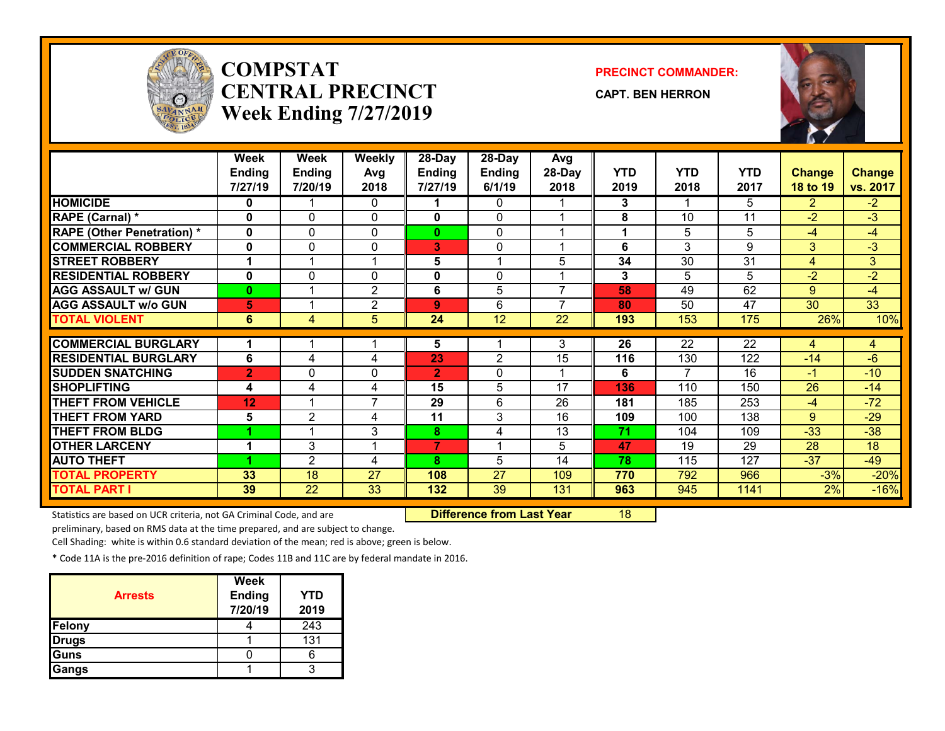

## **COMPSTATCENTRAL PRECINCTWeek Ending 7/27/2019**

#### **PRECINCT COMMANDER:**

**CAPT. BEN HERRON**



|                                              | <b>Week</b>    | Week           | <b>Weekly</b>         | $28$ -Day      | $28$ -Day      | Avg                      |            |                 |                 |                |                  |
|----------------------------------------------|----------------|----------------|-----------------------|----------------|----------------|--------------------------|------------|-----------------|-----------------|----------------|------------------|
|                                              | <b>Ending</b>  | <b>Ending</b>  | Avg                   | <b>Ending</b>  | <b>Ending</b>  | 28-Day                   | <b>YTD</b> | <b>YTD</b>      | <b>YTD</b>      | <b>Change</b>  | <b>Change</b>    |
|                                              | 7/27/19        | 7/20/19        | 2018                  | 7/27/19        | 6/1/19         | 2018                     | 2019       | 2018            | 2017            | 18 to 19       | vs. 2017         |
| <b>HOMICIDE</b>                              | 0              |                | 0                     |                | $\mathbf{0}$   |                          | 3          |                 | 5.              | $\overline{2}$ | $-2$             |
| RAPE (Carnal) *                              | $\mathbf{0}$   | $\Omega$       | 0                     | 0              | $\Omega$       |                          | 8          | 10              | 11              | $-2$           | $-3$             |
| <b>RAPE (Other Penetration) *</b>            | $\mathbf{0}$   | 0              | $\Omega$              | $\mathbf{0}$   | $\Omega$       |                          |            | 5               | 5               | $-4$           | $-4$             |
| <b>COMMERCIAL ROBBERY</b>                    | $\mathbf{0}$   | $\mathbf{0}$   | 0                     | 3              | $\Omega$       |                          | 6          | 3               | 9               | 3              | $-3$             |
| <b>STREET ROBBERY</b>                        |                |                | 1                     | 5              |                | 5                        | 34         | 30              | 31              | 4              | 3                |
| <b>RESIDENTIAL ROBBERY</b>                   | $\mathbf{0}$   | $\Omega$       | $\mathbf{0}$          | 0              | 0              |                          | 3          | 5               | 5               | $-2$           | $-2$             |
| <b>AGG ASSAULT w/ GUN</b>                    | $\bf{0}$       |                | 2                     | 6              | 5              | $\overline{\phantom{a}}$ | 58         | 49              | 62              | 9              | $-4$             |
| <b>AGG ASSAULT w/o GUN</b>                   | 5              |                | 2                     | 9              | 6              | $\overline{ }$           | 80         | 50              | 47              | 30             | $\overline{33}$  |
| <b>TOTAL VIOLENT</b>                         | 6              | $\overline{4}$ | 5                     | 24             | 12             | 22                       | 193        | 153             | 175             | 26%            | 10%              |
|                                              |                |                |                       |                |                |                          |            |                 |                 |                |                  |
| <b>COMMERCIAL BURGLARY</b>                   |                |                |                       | 5              |                | 3                        | 26         | $\overline{22}$ | $\overline{22}$ | 4              | 4                |
| <b>RESIDENTIAL BURGLARY</b>                  | 6              | 4              | 4                     | 23             | $\overline{2}$ | 15                       | 116        | 130             | 122             | $-14$          | -6               |
| <b>SUDDEN SNATCHING</b>                      | $\overline{2}$ | 0              | 0                     | $\overline{2}$ | $\Omega$       |                          | 6          |                 | 16              | $-1$           | $-10$            |
| <b>SHOPLIFTING</b>                           | 4              | 4              | 4                     | 15             | 5              | 17                       | 136        | 110             | 150             | 26             | $-14$            |
| <b>THEFT FROM VEHICLE</b>                    | 12             |                | $\overline{7}$        | 29             | 6              | 26                       | 181        | 185             | 253             | $-4$           | $-72$            |
|                                              |                |                |                       |                |                |                          |            |                 |                 |                |                  |
| <b>THEFT FROM YARD</b>                       | 5              | 2              | 4                     | 11             | 3              | 16                       | 109        | 100             | 138             | 9              | $-29$            |
| <b>THEFT FROM BLDG</b>                       |                |                | 3                     | 8              | 4              | 13                       | 71         | 104             | 109             | $-33$          | $-38$            |
| <b>OTHER LARCENY</b>                         | 1              | 3              | 1                     | 7              |                | 5                        | 47         | 19              | 29              | 28             | 18               |
| <b>AUTO THEFT</b>                            |                | 2              | 4                     | 8              | 5              | 14                       | 78         | 115             | 127             | $-37$          | $-49$            |
| <b>TOTAL PROPERTY</b><br><b>TOTAL PART I</b> | 33             | 18             | 27<br>$\overline{33}$ | 108            | 27             | 109                      | 770        | 792             | 966             | $-3%$          | $-20%$<br>$-16%$ |

Statistics are based on UCR criteria, not GA Criminal Code, and are **Difference from Last Year** 18

preliminary, based on RMS data at the time prepared, and are subject to change.

Cell Shading: white is within 0.6 standard deviation of the mean; red is above; green is below.

| <b>Arrests</b> | Week<br><b>Ending</b><br>7/20/19 | <b>YTD</b><br>2019 |
|----------------|----------------------------------|--------------------|
| Felony         |                                  | 243                |
| Drugs          |                                  | 131                |
| Guns           |                                  |                    |
| Gangs          |                                  | o                  |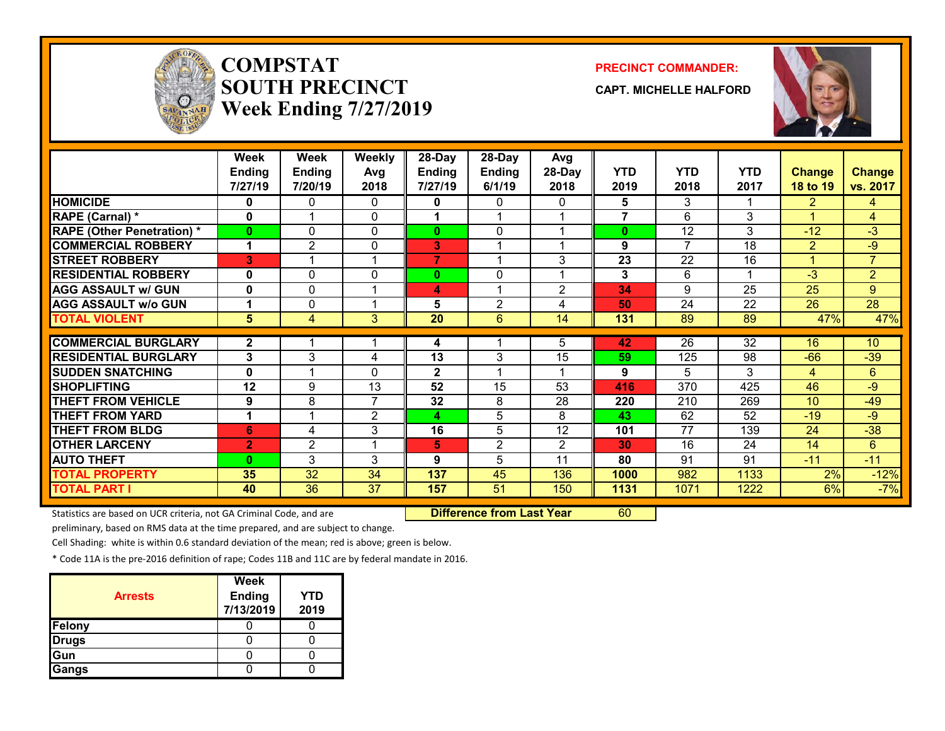

## **COMPSTATSOUTH PRECINCTWeek Ending 7/27/2019**

#### **PRECINCT COMMANDER:**

**CAPT. MICHELLE HALFORD**



|                                   | Week           | Week           | <b>Weekly</b>  | 28-Day       | 28-Day         | Avg            |                |                |            |                       |                 |
|-----------------------------------|----------------|----------------|----------------|--------------|----------------|----------------|----------------|----------------|------------|-----------------------|-----------------|
|                                   | <b>Ending</b>  | <b>Ending</b>  | Avg            | Ending       | Ending         | 28-Day         | <b>YTD</b>     | <b>YTD</b>     | <b>YTD</b> | <b>Change</b>         | <b>Change</b>   |
|                                   | 7/27/19        | 7/20/19        | 2018           | 7/27/19      | 6/1/19         | 2018           | 2019           | 2018           | 2017       | 18 to 19              | vs. 2017        |
| <b>HOMICIDE</b>                   | 0              | 0              | 0              | 0            | 0              | 0              | 5              | 3              |            | $\mathbf{2}^{\prime}$ | 4               |
| RAPE (Carnal) *                   | 0              |                | 0              |              |                |                | $\overline{7}$ | 6              | 3          |                       | 4               |
| <b>RAPE (Other Penetration) *</b> | 0              | 0              | $\Omega$       | 0            | 0              |                | $\bf{0}$       | 12             | 3          | $-12$                 | $-3$            |
| <b>COMMERCIAL ROBBERY</b>         | 1              | $\overline{2}$ | 0              | 3            |                |                | 9              | $\overline{7}$ | 18         | $\overline{2}$        | $-9$            |
| <b>STREET ROBBERY</b>             | 3              | 4              | 4              | 7            |                | 3              | 23             | 22             | 16         | 4                     | $\overline{7}$  |
| <b>RESIDENTIAL ROBBERY</b>        | 0              | 0              | 0              | $\bf{0}$     | 0              |                | 3              | 6              | 1          | $-3$                  | $\overline{2}$  |
| <b>AGG ASSAULT w/ GUN</b>         | 0              | 0              | 1              | 4            |                | 2              | 34             | 9              | 25         | 25                    | 9               |
| <b>AGG ASSAULT w/o GUN</b>        | 1              | 0              | 1              | 5            | $\overline{2}$ | 4              | 50             | 24             | 22         | 26                    | $\overline{28}$ |
| <b>TOTAL VIOLENT</b>              | 5              | 4              | 3              | 20           | 6              | 14             | 131            | 89             | 89         | 47%                   | 47%             |
|                                   |                |                |                |              |                |                |                |                |            |                       |                 |
| <b>COMMERCIAL BURGLARY</b>        | 2              |                |                | 4            |                | 5              | 42             | 26             | 32         | 16                    | 10              |
| <b>RESIDENTIAL BURGLARY</b>       | 3              | 3              | 4              | 13           | 3              | 15             | 59             | 125            | 98         | $-66$                 | $-39$           |
| <b>SUDDEN SNATCHING</b>           | 0              |                | 0              | $\mathbf{2}$ |                |                | 9              | 5              | 3          | 4                     | 6               |
| <b>SHOPLIFTING</b>                | 12             | 9              | 13             | 52           | 15             | 53             | 416            | 370            | 425        | 46                    | $-9$            |
| <b>THEFT FROM VEHICLE</b>         | 9              | 8              | $\overline{7}$ | 32           | 8              | 28             | 220            | 210            | 269        | 10 <sup>°</sup>       | $-49$           |
| <b>THEFT FROM YARD</b>            | 1              |                | 2              | 4            | 5              | 8              | 43             | 62             | 52         | $-19$                 | $-9$            |
| <b>THEFT FROM BLDG</b>            | 6              | 4              | 3              | 16           | 5              | 12             | 101            | 77             | 139        | 24                    | $-38$           |
| <b>OTHER LARCENY</b>              | $\overline{2}$ | 2              | -4             | 5            | 2              | $\overline{2}$ | 30             | 16             | 24         | 14                    | 6               |
| <b>AUTO THEFT</b>                 | 0              | 3              | 3              | 9            | 5              | 11             | 80             | 91             | 91         | $-11$                 | $-11$           |
| <b>TOTAL PROPERTY</b>             | 35             | 32             | 34             | 137          | 45             | 136            | 1000           | 982            | 1133       | 2%                    | $-12%$          |
| <b>TOTAL PART I</b>               | 40             | 36             | 37             | 157          | 51             | 150            | 1131           | 1071           | 1222       | 6%                    | $-7%$           |

Statistics are based on UCR criteria, not GA Criminal Code, and are **Difference from Last Year** 60

preliminary, based on RMS data at the time prepared, and are subject to change.

Cell Shading: white is within 0.6 standard deviation of the mean; red is above; green is below.

| <b>Arrests</b> | Week<br><b>Ending</b><br>7/13/2019 | <b>YTD</b><br>2019 |
|----------------|------------------------------------|--------------------|
| Felony         |                                    |                    |
| <b>Drugs</b>   |                                    |                    |
| Gun            |                                    |                    |
| Gangs          |                                    |                    |